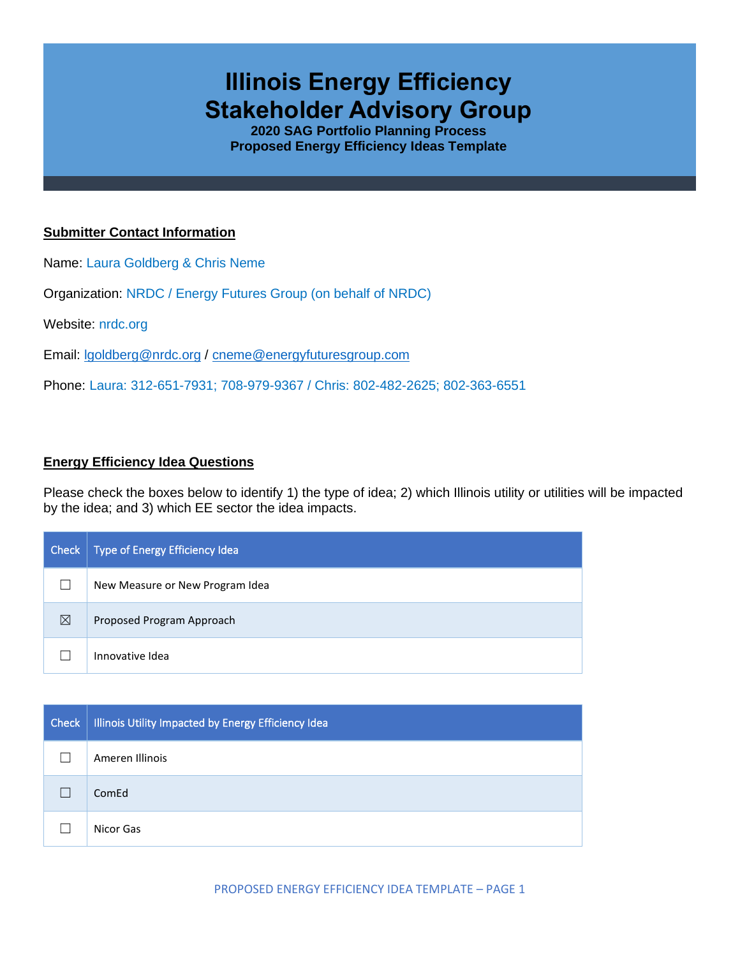# **Illinois Energy Efficiency Stakeholder Advisory Group**

**2020 SAG Portfolio Planning Process Proposed Energy Efficiency Ideas Template**

## **Submitter Contact Information**

Name: Laura Goldberg & Chris Neme

Organization: NRDC / Energy Futures Group (on behalf of NRDC)

Website: nrdc.org

Email: [lgoldberg@nrdc.org](mailto:lgoldberg@nrdc.org) / [cneme@energyfuturesgroup.com](mailto:cneme@energyfuturesgroup.com)

Phone: Laura: 312-651-7931; 708-979-9367 / Chris: 802-482-2625; 802-363-6551

# **Energy Efficiency Idea Questions**

Please check the boxes below to identify 1) the type of idea; 2) which Illinois utility or utilities will be impacted by the idea; and 3) which EE sector the idea impacts.

| Check       | Type of Energy Efficiency Idea  |
|-------------|---------------------------------|
|             | New Measure or New Program Idea |
| $\boxtimes$ | Proposed Program Approach       |
|             | Innovative Idea                 |

| <b>Check</b> | Illinois Utility Impacted by Energy Efficiency Idea |
|--------------|-----------------------------------------------------|
|              | Ameren Illinois                                     |
|              | ComEd                                               |
|              | Nicor Gas                                           |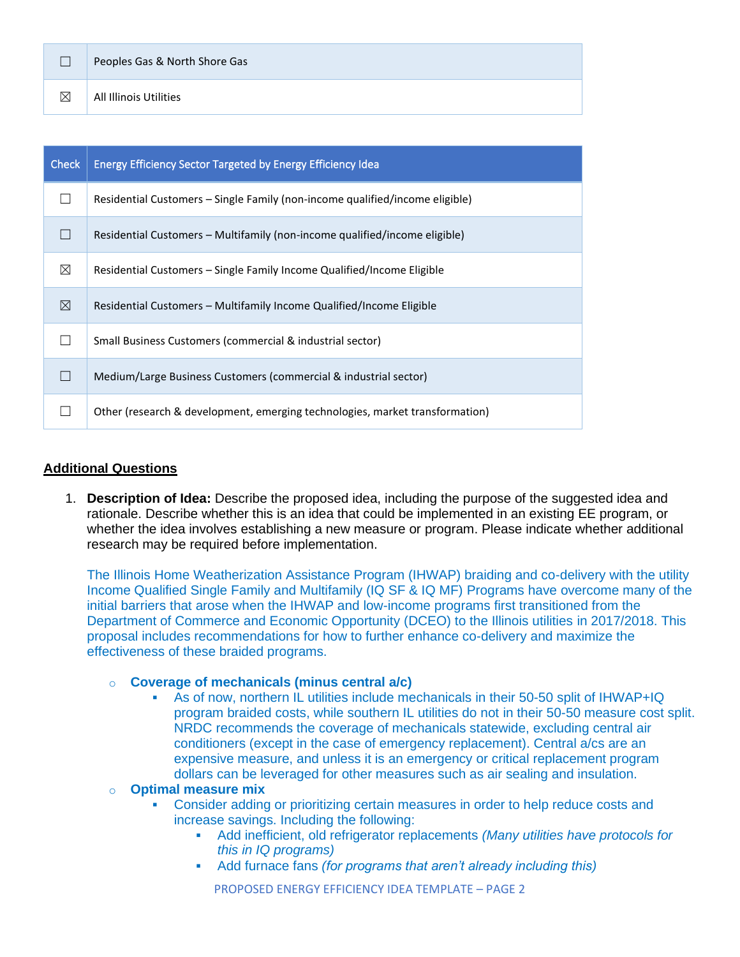|   | Peoples Gas & North Shore Gas |
|---|-------------------------------|
| ⊠ | All Illinois Utilities        |

| Check | Energy Efficiency Sector Targeted by Energy Efficiency Idea                  |
|-------|------------------------------------------------------------------------------|
|       | Residential Customers – Single Family (non-income qualified/income eligible) |
|       | Residential Customers – Multifamily (non-income qualified/income eligible)   |
| ⊠     | Residential Customers – Single Family Income Qualified/Income Eligible       |
| ⊠     | Residential Customers – Multifamily Income Qualified/Income Eligible         |
|       | Small Business Customers (commercial & industrial sector)                    |
|       | Medium/Large Business Customers (commercial & industrial sector)             |
|       | Other (research & development, emerging technologies, market transformation) |

### **Additional Questions**

1. **Description of Idea:** Describe the proposed idea, including the purpose of the suggested idea and rationale. Describe whether this is an idea that could be implemented in an existing EE program, or whether the idea involves establishing a new measure or program. Please indicate whether additional research may be required before implementation.

The Illinois Home Weatherization Assistance Program (IHWAP) braiding and co-delivery with the utility Income Qualified Single Family and Multifamily (IQ SF & IQ MF) Programs have overcome many of the initial barriers that arose when the IHWAP and low-income programs first transitioned from the Department of Commerce and Economic Opportunity (DCEO) to the Illinois utilities in 2017/2018. This proposal includes recommendations for how to further enhance co-delivery and maximize the effectiveness of these braided programs.

#### o **Coverage of mechanicals (minus central a/c)**

As of now, northern IL utilities include mechanicals in their 50-50 split of IHWAP+IQ program braided costs, while southern IL utilities do not in their 50-50 measure cost split. NRDC recommends the coverage of mechanicals statewide, excluding central air conditioners (except in the case of emergency replacement). Central a/cs are an expensive measure, and unless it is an emergency or critical replacement program dollars can be leveraged for other measures such as air sealing and insulation.

#### o **Optimal measure mix**

- Consider adding or prioritizing certain measures in order to help reduce costs and increase savings. Including the following:
	- Add inefficient, old refrigerator replacements *(Many utilities have protocols for this in IQ programs)*
	- Add furnace fans *(for programs that aren't already including this)*

PROPOSED ENERGY EFFICIENCY IDEA TEMPLATE – PAGE 2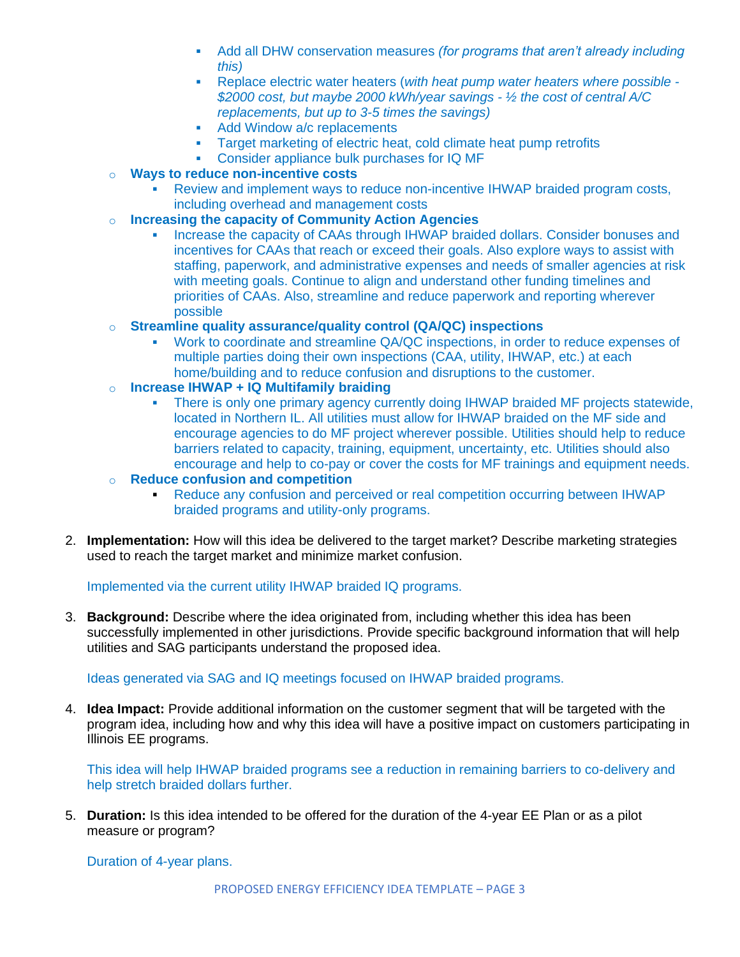- Add all DHW conservation measures *(for programs that aren't already including this)*
- Replace electric water heaters (*with heat pump water heaters where possible - \$2000 cost, but maybe 2000 kWh/year savings - ½ the cost of central A/C replacements, but up to 3-5 times the savings)*
- Add Window a/c replacements
- Target marketing of electric heat, cold climate heat pump retrofits
- Consider appliance bulk purchases for IQ MF
- o **Ways to reduce non-incentive costs** 
	- Review and implement ways to reduce non-incentive IHWAP braided program costs, including overhead and management costs
- **Increasing the capacity of Community Action Agencies** 
	- **Increase the capacity of CAAs through IHWAP braided dollars. Consider bonuses and** incentives for CAAs that reach or exceed their goals. Also explore ways to assist with staffing, paperwork, and administrative expenses and needs of smaller agencies at risk with meeting goals. Continue to align and understand other funding timelines and priorities of CAAs. Also, streamline and reduce paperwork and reporting wherever possible
- o **Streamline quality assurance/quality control (QA/QC) inspections** 
	- Work to coordinate and streamline QA/QC inspections, in order to reduce expenses of multiple parties doing their own inspections (CAA, utility, IHWAP, etc.) at each home/building and to reduce confusion and disruptions to the customer.
- o **Increase IHWAP + IQ Multifamily braiding** 
	- **There is only one primary agency currently doing IHWAP braided MF projects statewide,** located in Northern IL. All utilities must allow for IHWAP braided on the MF side and encourage agencies to do MF project wherever possible. Utilities should help to reduce barriers related to capacity, training, equipment, uncertainty, etc. Utilities should also encourage and help to co-pay or cover the costs for MF trainings and equipment needs.
- o **Reduce confusion and competition** 
	- Reduce any confusion and perceived or real competition occurring between IHWAP braided programs and utility-only programs.
- 2. **Implementation:** How will this idea be delivered to the target market? Describe marketing strategies used to reach the target market and minimize market confusion.

Implemented via the current utility IHWAP braided IQ programs.

3. **Background:** Describe where the idea originated from, including whether this idea has been successfully implemented in other jurisdictions. Provide specific background information that will help utilities and SAG participants understand the proposed idea.

Ideas generated via SAG and IQ meetings focused on IHWAP braided programs.

4. **Idea Impact:** Provide additional information on the customer segment that will be targeted with the program idea, including how and why this idea will have a positive impact on customers participating in Illinois EE programs.

This idea will help IHWAP braided programs see a reduction in remaining barriers to co-delivery and help stretch braided dollars further.

5. **Duration:** Is this idea intended to be offered for the duration of the 4-year EE Plan or as a pilot measure or program?

Duration of 4-year plans.